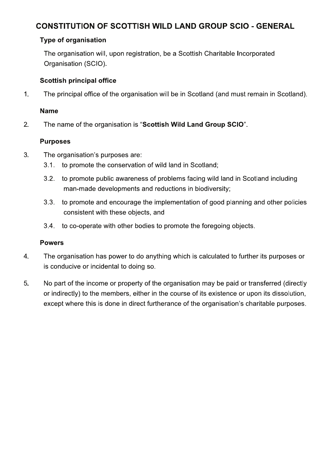# **CONSTITUTION OF SCOTTISH WILD LAND GROUP SCIO - GENERAL**

### **Type of organisation**

The organisation will, upon registration, be a Scottish Charitable Incorporated Organisation (SCIO).

#### **Scottish principal office**

The principal office of the organisation will be in Scotland (and must remain in Scotland).  $\mathbf 1$ .

#### **Name**

2. The name of the organisation is "Scottish Wild Land Group SCIO".

### **Purposes**

- 3. The organisation's purposes are:
	- $3.1.$ to promote the conservation of wild land in Scotland;
	- to promote public awareness of problems facing wild land in Scotland including  $3.2.$ man-made developments and reductions in biodiversity;
	- $3.3.$ to promote and encourage the implementation of good planning and other policies consistent with these objects, and
	- to co-operate with other bodies to promote the foregoing objects.  $3.4.$

# **Powers**

- The organisation has power to do anything which is calculated to further its purposes or  $\overline{4}$ . is conducive or incidental to doing so.
- 5. No part of the income or property of the organisation may be paid or transferred (directly or indirectly) to the members, either in the course of its existence or upon its dissolution, except where this is done in direct furtherance of the organisation's charitable purposes.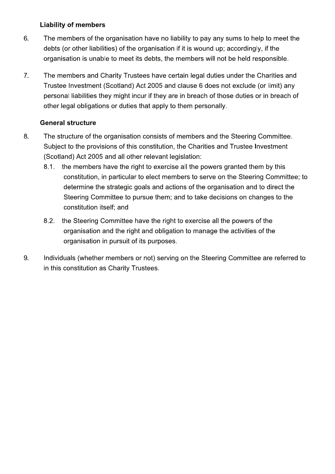### **Liability of members**

- 6. The members of the organisation have no liability to pay any sums to help to meet the debts (or other liabilities) of the organisation if it is wound up; accordingly, if the organisation is unable to meet its debts, the members will not be held responsible.
- $7.$ The members and Charity Trustees have certain legal duties under the Charities and Trustee Investment (Scotland) Act 2005 and clause 6 does not exclude (or limit) any personal liabilities they might incur if they are in breach of those duties or in breach of other legal obligations or duties that apply to them personally.

# **General structure**

- The structure of the organisation consists of members and the Steering Committee. 8. Subject to the provisions of this constitution, the Charities and Trustee Investment (Scotland) Act 2005 and all other relevant legislation:
	- the members have the right to exercise all the powers granted them by this  $8.1.$ constitution, in particular to elect members to serve on the Steering Committee; to determine the strategic goals and actions of the organisation and to direct the Steering Committee to pursue them; and to take decisions on changes to the constitution itself; and
	- the Steering Committee have the right to exercise all the powers of the  $8.2.$ organisation and the right and obligation to manage the activities of the organisation in pursuit of its purposes.
- 9. Individuals (whether members or not) serving on the Steering Committee are referred to in this constitution as Charity Trustees.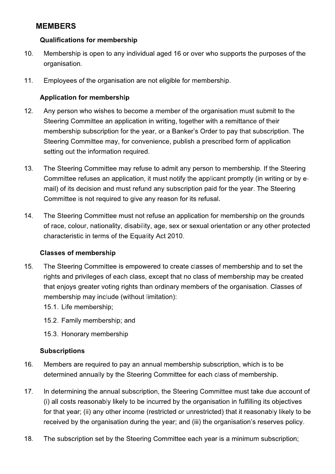# **MEMBERS**

#### **Qualifications for membership**

- $10.$ Membership is open to any individual aged 16 or over who supports the purposes of the organisation.
- $11.$ Employees of the organisation are not eligible for membership.

# **Application for membership**

- $12.$ Any person who wishes to become a member of the organisation must submit to the Steering Committee an application in writing, together with a remittance of their membership subscription for the year, or a Banker's Order to pay that subscription. The Steering Committee may, for convenience, publish a prescribed form of application setting out the information required.
- 13. The Steering Committee may refuse to admit any person to membership. If the Steering Committee refuses an application, it must notify the applicant promptly (in writing or by email) of its decision and must refund any subscription paid for the year. The Steering Committee is not required to give any reason for its refusal.
- The Steering Committee must not refuse an application for membership on the grounds 14. of race, colour, nationality, disability, age, sex or sexual orientation or any other protected characteristic in terms of the Equality Act 2010.

#### **Classes of membership**

- 15. The Steering Committee is empowered to create classes of membership and to set the rights and privileges of each class, except that no class of membership may be created that enjoys greater voting rights than ordinary members of the organisation. Classes of membership may include (without limitation):
	- 15.1. Life membership;
	- 15.2. Family membership; and
	- 15.3. Honorary membership

# **Subscriptions**

- 16. Members are required to pay an annual membership subscription, which is to be determined annually by the Steering Committee for each class of membership.
- $17.$ In determining the annual subscription, the Steering Committee must take due account of (i) all costs reasonably likely to be incurred by the organisation in fulfilling its objectives for that year; (ii) any other income (restricted or unrestricted) that it reasonably likely to be received by the organisation during the year; and (iii) the organisation's reserves policy.
- 18. The subscription set by the Steering Committee each year is a minimum subscription;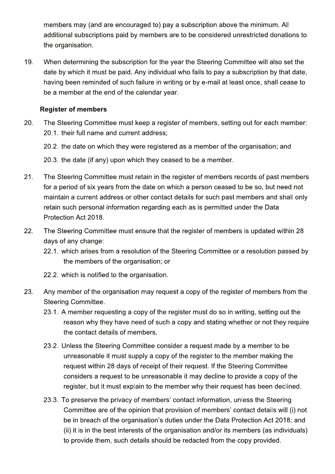members may (and are encouraged to) pay a subscription above the minimum. All additional subscriptions paid by members are to be considered unrestricted donations to the organisation.

19. When determining the subscription for the year the Steering Committee will also set the date by which it must be paid. Any individual who fails to pay a subscription by that date. having been reminded of such failure in writing or by e-mail at least once, shall cease to be a member at the end of the calendar year.

### **Register of members**

- 20. The Steering Committee must keep a register of members, setting out for each member: 20.1. their full name and current address:
	- 20.2. the date on which they were registered as a member of the organisation; and

20.3. the date (if any) upon which they ceased to be a member.

- $21.$ The Steering Committee must retain in the register of members records of past members for a period of six years from the date on which a person ceased to be so, but need not maintain a current address or other contact details for such past members and shall only retain such personal information regarding each as is permitted under the Data Protection Act 2018.
- 22. The Steering Committee must ensure that the register of members is updated within 28 days of any change:
	- 22.1. which arises from a resolution of the Steering Committee or a resolution passed by the members of the organisation; or
	- 22.2. which is notified to the organisation.
- 23. Any member of the organisation may request a copy of the register of members from the **Steering Committee.** 
	- 23.1. A member requesting a copy of the register must do so in writing, setting out the reason why they have need of such a copy and stating whether or not they require the contact details of members.
	- 23.2. Unless the Steering Committee consider a request made by a member to be unreasonable it must supply a copy of the register to the member making the request within 28 days of receipt of their request. If the Steering Committee considers a request to be unreasonable it may decline to provide a copy of the register, but it must explain to the member why their request has been declined.
	- 23.3. To preserve the privacy of members' contact information, unless the Steering Committee are of the opinion that provision of members' contact details will (i) not be in breach of the organisation's duties under the Data Protection Act 2018; and (ii) it is in the best interests of the organisation and/or its members (as individuals) to provide them, such details should be redacted from the copy provided.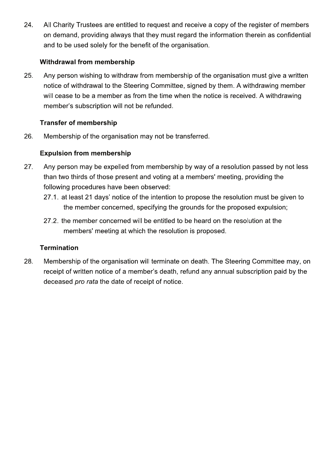24. All Charity Trustees are entitled to request and receive a copy of the register of members on demand, providing always that they must regard the information therein as confidential and to be used solely for the benefit of the organisation.

# Withdrawal from membership

Any person wishing to withdraw from membership of the organisation must give a written 25. notice of withdrawal to the Steering Committee, signed by them. A withdrawing member will cease to be a member as from the time when the notice is received. A withdrawing member's subscription will not be refunded.

# **Transfer of membership**

26. Membership of the organisation may not be transferred.

# **Expulsion from membership**

- 27. Any person may be expelled from membership by way of a resolution passed by not less than two thirds of those present and voting at a members' meeting, providing the following procedures have been observed:
	- 27.1. at least 21 days' notice of the intention to propose the resolution must be given to the member concerned, specifying the grounds for the proposed expulsion;
	- 27.2. the member concerned will be entitled to be heard on the resolution at the members' meeting at which the resolution is proposed.

# **Termination**

28. Membership of the organisation will terminate on death. The Steering Committee may, on receipt of written notice of a member's death, refund any annual subscription paid by the deceased pro rata the date of receipt of notice.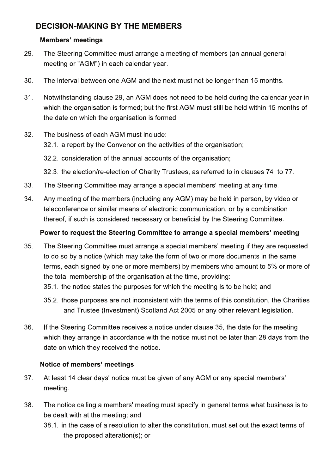# **DECISION-MAKING BY THE MEMBERS**

### **Members' meetings**

- 29. The Steering Committee must arrange a meeting of members (an annual general meeting or "AGM") in each calendar year.
- 30. The interval between one AGM and the next must not be longer than 15 months.
- 31. Notwithstanding clause 29, an AGM does not need to be held during the calendar year in which the organisation is formed; but the first AGM must still be held within 15 months of the date on which the organisation is formed.
- 32. The business of each AGM must include:
	- 32.1. a report by the Convenor on the activities of the organisation;
	- 32.2. consideration of the annual accounts of the organisation:
	- 32.3. the election/re-election of Charity Trustees, as referred to in clauses 74 to 77.
- 33. The Steering Committee may arrange a special members' meeting at any time.
- 34. Any meeting of the members (including any AGM) may be held in person, by video or teleconference or similar means of electronic communication, or by a combination thereof, if such is considered necessary or beneficial by the Steering Committee.

### Power to request the Steering Committee to arrange a special members' meeting

- 35. The Steering Committee must arrange a special members' meeting if they are requested to do so by a notice (which may take the form of two or more documents in the same terms, each signed by one or more members) by members who amount to 5% or more of the total membership of the organisation at the time, providing:
	- 35.1, the notice states the purposes for which the meeting is to be held; and
	- 35.2. those purposes are not inconsistent with the terms of this constitution, the Charities and Trustee (Investment) Scotland Act 2005 or any other relevant legislation.
- 36. If the Steering Committee receives a notice under clause 35, the date for the meeting which they arrange in accordance with the notice must not be later than 28 days from the date on which they received the notice.

# Notice of members' meetings

- 37. At least 14 clear days' notice must be given of any AGM or any special members' meeting.
- 38. The notice calling a members' meeting must specify in general terms what business is to be dealt with at the meeting; and
	- 38.1. in the case of a resolution to alter the constitution, must set out the exact terms of the proposed alteration(s); or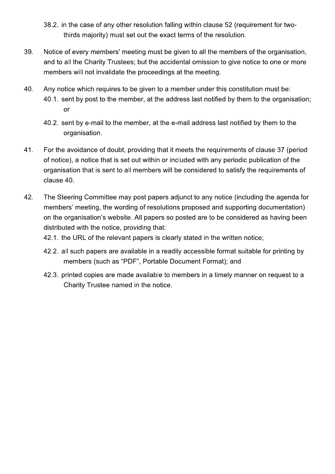- 38.2. in the case of any other resolution falling within clause 52 (requirement for twothirds majority) must set out the exact terms of the resolution.
- Notice of every members' meeting must be given to all the members of the organisation. 39 and to all the Charity Trustees; but the accidental omission to give notice to one or more members will not invalidate the proceedings at the meeting.
- 40. Any notice which requires to be given to a member under this constitution must be: 40.1. sent by post to the member, at the address last notified by them to the organisation; **or** 
	- 40.2. sent by e-mail to the member, at the e-mail address last notified by them to the organisation.
- 41. For the avoidance of doubt, providing that it meets the requirements of clause 37 (period of notice), a notice that is set out within or included with any periodic publication of the organisation that is sent to all members will be considered to satisfy the requirements of clause 40.
- 42. The Steering Committee may post papers adjunct to any notice (including the agenda for members' meeting, the wording of resolutions proposed and supporting documentation) on the organisation's website. All papers so posted are to be considered as having been distributed with the notice, providing that:
	- 42.1. the URL of the relevant papers is clearly stated in the written notice;
	- 42.2. all such papers are available in a readily accessible format suitable for printing by members (such as "PDF", Portable Document Format); and
	- 42.3, printed copies are made available to members in a timely manner on request to a Charity Trustee named in the notice.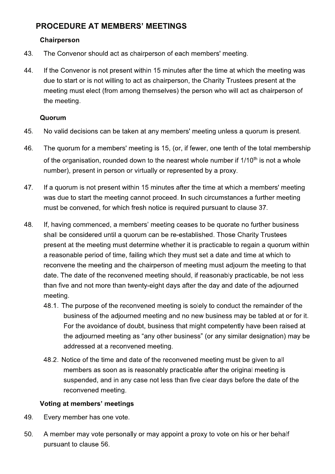# **PROCEDURE AT MEMBERS' MEETINGS**

### Chairperson

- 43. The Convenor should act as chairperson of each members' meeting.
- 44. If the Convenor is not present within 15 minutes after the time at which the meeting was due to start or is not willing to act as chairperson, the Charity Trustees present at the meeting must elect (from among themselves) the person who will act as chairperson of the meeting.

#### Quorum

- 45. No valid decisions can be taken at any members' meeting unless a quorum is present.
- 46. The quorum for a members' meeting is 15, (or, if fewer, one tenth of the total membership of the organisation, rounded down to the nearest whole number if 1/10<sup>th</sup> is not a whole number), present in person or virtually or represented by a proxy.
- 47. If a guorum is not present within 15 minutes after the time at which a members' meeting was due to start the meeting cannot proceed. In such circumstances a further meeting must be convened, for which fresh notice is required pursuant to clause 37.
- 48. If, having commenced, a members' meeting ceases to be quorate no further business shall be considered until a quorum can be re-established. Those Charity Trustees present at the meeting must determine whether it is practicable to regain a quorum within a reasonable period of time, failing which they must set a date and time at which to reconvene the meeting and the chairperson of meeting must adjourn the meeting to that date. The date of the reconvened meeting should, if reasonably practicable, be not less than five and not more than twenty-eight days after the day and date of the adjourned meeting.
	- 48.1. The purpose of the reconvened meeting is solely to conduct the remainder of the business of the adjourned meeting and no new business may be tabled at or for it. For the avoidance of doubt, business that might competently have been raised at the adiourned meeting as "any other business" (or any similar designation) may be addressed at a reconvened meeting.
	- 48.2. Notice of the time and date of the reconvened meeting must be given to all members as soon as is reasonably practicable after the original meeting is suspended, and in any case not less than five clear days before the date of the reconvened meeting.

# Voting at members' meetings

- 49. Every member has one vote.
- 50. A member may vote personally or may appoint a proxy to vote on his or her behalf pursuant to clause 56.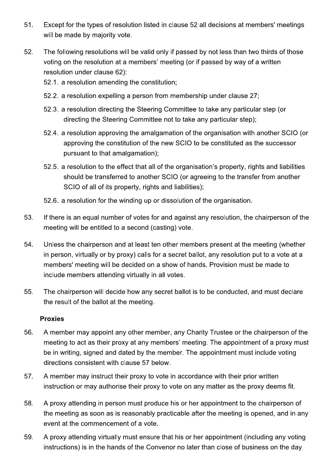- 51. Except for the types of resolution listed in clause 52 all decisions at members' meetings will be made by majority vote.
- 52. The following resolutions will be valid only if passed by not less than two thirds of those voting on the resolution at a members' meeting (or if passed by way of a written resolution under clause 62):
	- 52.1. a resolution amending the constitution;
	- 52.2. a resolution expelling a person from membership under clause 27;
	- 52.3. a resolution directing the Steering Committee to take any particular step (or directing the Steering Committee not to take any particular step);
	- 52.4. a resolution approving the amalgamation of the organisation with another SCIO (or approving the constitution of the new SCIO to be constituted as the successor pursuant to that amalgamation);
	- 52.5. a resolution to the effect that all of the organisation's property, rights and liabilities should be transferred to another SCIO (or agreeing to the transfer from another SCIO of all of its property, rights and liabilities);
	- 52.6. a resolution for the winding up or dissolution of the organisation.
- 53. If there is an equal number of votes for and against any resolution, the chairperson of the meeting will be entitled to a second (casting) vote.
- 54. Unless the chairperson and at least ten other members present at the meeting (whether in person, virtually or by proxy) calls for a secret ballot, any resolution put to a vote at a members' meeting will be decided on a show of hands. Provision must be made to include members attending virtually in all votes.
- 55. The chairperson will decide how any secret ballot is to be conducted, and must declare the result of the ballot at the meeting.

# **Proxies**

- 56. A member may appoint any other member, any Charity Trustee or the chairperson of the meeting to act as their proxy at any members' meeting. The appointment of a proxy must be in writing, signed and dated by the member. The appointment must include voting directions consistent with clause 57 below.
- 57. A member may instruct their proxy to vote in accordance with their prior written instruction or may authorise their proxy to vote on any matter as the proxy deems fit.
- A proxy attending in person must produce his or her appointment to the chairperson of 58. the meeting as soon as is reasonably practicable after the meeting is opened, and in any event at the commencement of a vote.
- 59. A proxy attending virtually must ensure that his or her appointment (including any voting instructions) is in the hands of the Convenor no later than close of business on the day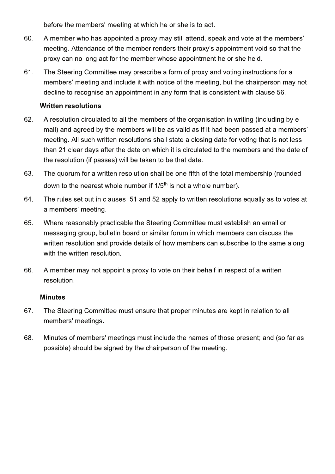before the members' meeting at which he or she is to act.

- 60. A member who has appointed a proxy may still attend, speak and vote at the members' meeting. Attendance of the member renders their proxy's appointment void so that the proxy can no long act for the member whose appointment he or she held.
- The Steering Committee may prescribe a form of proxy and voting instructions for a 61. members' meeting and include it with notice of the meeting, but the chairperson may not decline to recognise an appointment in any form that is consistent with clause 56.

### **Written resolutions**

- 62. A resolution circulated to all the members of the organisation in writing (including by email) and agreed by the members will be as valid as if it had been passed at a members' meeting. All such written resolutions shall state a closing date for voting that is not less than 21 clear days after the date on which it is circulated to the members and the date of the resolution (if passes) will be taken to be that date.
- 63. The quorum for a written resolution shall be one-fifth of the total membership (rounded down to the nearest whole number if 1/5<sup>th</sup> is not a whole number).
- 64. The rules set out in clauses 51 and 52 apply to written resolutions equally as to votes at a members' meeting.
- 65. Where reasonably practicable the Steering Committee must establish an email or messaging group, bulletin board or similar forum in which members can discuss the written resolution and provide details of how members can subscribe to the same along with the written resolution.
- 66. A member may not appoint a proxy to vote on their behalf in respect of a written resolution.

#### **Minutes**

- 67. The Steering Committee must ensure that proper minutes are kept in relation to all members' meetings.
- 68. Minutes of members' meetings must include the names of those present; and (so far as possible) should be signed by the chairperson of the meeting.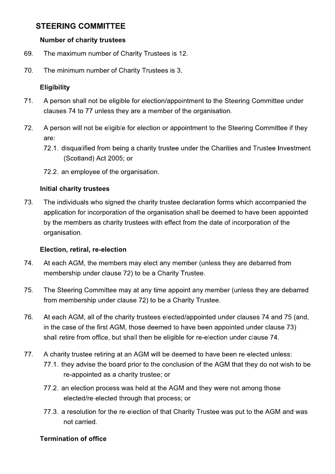# STEERING COMMITTEE

#### Number of charity trustees

- 69. The maximum number of Charity Trustees is 12.
- 70. The minimum number of Charity Trustees is 3.

#### **Eligibility**

- 71. A person shall not be eligible for election/appointment to the Steering Committee under clauses 74 to 77 unless they are a member of the organisation.
- 72. A person will not be eligible for election or appointment to the Steering Committee if they are:
	- 72.1. disqualified from being a charity trustee under the Charities and Trustee Investment (Scotland) Act 2005; or
	- 72.2. an employee of the organisation.

#### Initial charity trustees

73. The individuals who signed the charity trustee declaration forms which accompanied the application for incorporation of the organisation shall be deemed to have been appointed by the members as charity trustees with effect from the date of incorporation of the organisation.

#### Election, retiral, re-election

- 74. At each AGM, the members may elect any member (unless they are debarred from membership under clause 72) to be a Charity Trustee.
- 75. The Steering Committee may at any time appoint any member (unless they are debarred from membership under clause 72) to be a Charity Trustee.
- 76. At each AGM, all of the charity trustees elected/appointed under clauses 74 and 75 (and, in the case of the first AGM, those deemed to have been appointed under clause 73) shall retire from office, but shall then be eligible for re-election under clause 74.
- 77. A charity trustee retiring at an AGM will be deemed to have been re-elected unless: 77.1, they advise the board prior to the conclusion of the AGM that they do not wish to be re-appointed as a charity trustee; or
	- 77.2. an election process was held at the AGM and they were not among those elected/re-elected through that process; or
	- 77.3. a resolution for the re-election of that Charity Trustee was put to the AGM and was not carried.

#### **Termination of office**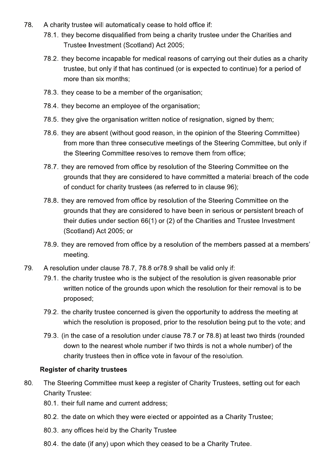- 78. A charity trustee will automatically cease to hold office if:
	- 78.1. they become disqualified from being a charity trustee under the Charities and Trustee Investment (Scotland) Act 2005;
	- 78.2. they become incapable for medical reasons of carrying out their duties as a charity trustee, but only if that has continued (or is expected to continue) for a period of more than six months:
	- 78.3. they cease to be a member of the organisation;
	- 78.4. they become an employee of the organisation;
	- 78.5. they give the organisation written notice of resignation, signed by them;
	- 78.6. they are absent (without good reason, in the opinion of the Steering Committee) from more than three consecutive meetings of the Steering Committee, but only if the Steering Committee resolves to remove them from office;
	- 78.7. they are removed from office by resolution of the Steering Committee on the grounds that they are considered to have committed a material breach of the code of conduct for charity trustees (as referred to in clause 96);
	- 78.8. they are removed from office by resolution of the Steering Committee on the grounds that they are considered to have been in serious or persistent breach of their duties under section 66(1) or (2) of the Charities and Trustee Investment (Scotland) Act 2005; or
	- 78.9. they are removed from office by a resolution of the members passed at a members' meeting.
- 79. A resolution under clause 78.7, 78.8 or 78.9 shall be valid only if:
	- 79.1. the charity trustee who is the subject of the resolution is given reasonable prior written notice of the grounds upon which the resolution for their removal is to be proposed;
	- 79.2. the charity trustee concerned is given the opportunity to address the meeting at which the resolution is proposed, prior to the resolution being put to the vote; and
	- 79.3. (in the case of a resolution under clause 78.7 or 78.8) at least two thirds (rounded down to the nearest whole number if two thirds is not a whole number) of the charity trustees then in office vote in favour of the resolution.

#### **Register of charity trustees**

- 80. The Steering Committee must keep a register of Charity Trustees, setting out for each **Charity Trustee:** 
	- 80.1. their full name and current address;
	- 80.2. the date on which they were elected or appointed as a Charity Trustee;
	- 80.3. any offices held by the Charity Trustee
	- 80.4. the date (if any) upon which they ceased to be a Charity Trutee.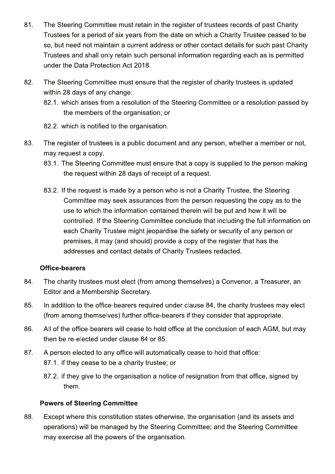- 81. The Steering Committee must retain in the register of trustees records of past Charity Trustees for a period of six years from the date on which a Charity Trustee ceased to be so, but need not maintain a current address or other contact details for such past Charity Trustees and shall only retain such personal information regarding each as is permitted under the Data Protection Act 2018.
- 82. The Steering Committee must ensure that the register of charity trustees is updated within 28 days of any change:
	- 82.1. which arises from a resolution of the Steering Committee or a resolution passed by the members of the organisation; or
	- 82.2. which is notified to the organisation.
- 83. The register of trustees is a public document and any person, whether a member or not, may request a copy.
	- 83.1. The Steering Committee must ensure that a copy is supplied to the person making the request within 28 days of receipt of a request.
	- 83.2. If the request is made by a person who is not a Charity Trustee, the Steering Committee may seek assurances from the person requesting the copy as to the use to which the information contained therein will be put and how it will be controlled. If the Steering Committee conclude that including the full information on each Charity Trustee might jeopardise the safety or security of any person or premises, it may (and should) provide a copy of the register that has the addresses and contact details of Charity Trustees redacted.

#### **Office-bearers**

- The charity trustees must elect (from among themselves) a Convenor, a Treasurer, an 84. Editor and a Membership Secretary.
- 85. In addition to the office-bearers required under clause 84, the charity trustees may elect (from among themselves) further office-bearers if they consider that appropriate.
- 86. All of the office-bearers will cease to hold office at the conclusion of each AGM, but may then be re-elected under clause 84 or 85.
- 87. A person elected to any office will automatically cease to hold that office: 87.1. if they cease to be a charity trustee; or
	- 87.2. if they give to the organisation a notice of resignation from that office, signed by them.

#### **Powers of Steering Committee**

88. Except where this constitution states otherwise, the organisation (and its assets and operations) will be managed by the Steering Committee; and the Steering Committee may exercise all the powers of the organisation.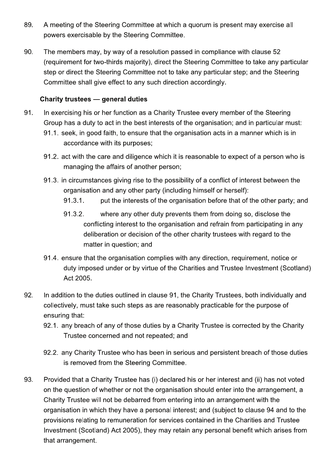- 89. A meeting of the Steering Committee at which a quorum is present may exercise all powers exercisable by the Steering Committee.
- 90. The members may, by way of a resolution passed in compliance with clause 52 (requirement for two-thirds majority), direct the Steering Committee to take any particular step or direct the Steering Committee not to take any particular step; and the Steering Committee shall give effect to any such direction accordingly.

### **Charity trustees - general duties**

- 91. In exercising his or her function as a Charity Trustee every member of the Steering Group has a duty to act in the best interests of the organisation; and in particular must:
	- 91.1. seek, in good faith, to ensure that the organisation acts in a manner which is in accordance with its purposes;
	- 91.2. act with the care and diligence which it is reasonable to expect of a person who is managing the affairs of another person;
	- 91.3. in circumstances giving rise to the possibility of a conflict of interest between the organisation and any other party (including himself or herself):
		- put the interests of the organisation before that of the other party; and  $91.3.1.$
		- 91.3.2. where any other duty prevents them from doing so, disclose the conflicting interest to the organisation and refrain from participating in any deliberation or decision of the other charity trustees with regard to the matter in question; and
	- 91.4. ensure that the organisation complies with any direction, requirement, notice or duty imposed under or by virtue of the Charities and Trustee Investment (Scotland) Act 2005.
- 92. In addition to the duties outlined in clause 91, the Charity Trustees, both individually and collectively, must take such steps as are reasonably practicable for the purpose of ensuring that:
	- 92.1. any breach of any of those duties by a Charity Trustee is corrected by the Charity Trustee concerned and not repeated; and
	- 92.2. any Charity Trustee who has been in serious and persistent breach of those duties is removed from the Steering Committee.
- 93. Provided that a Charity Trustee has (i) declared his or her interest and (ii) has not voted on the question of whether or not the organisation should enter into the arrangement, a Charity Trustee will not be debarred from entering into an arrangement with the organisation in which they have a personal interest; and (subject to clause 94 and to the provisions relating to remuneration for services contained in the Charities and Trustee Investment (Scotland) Act 2005), they may retain any personal benefit which arises from that arrangement.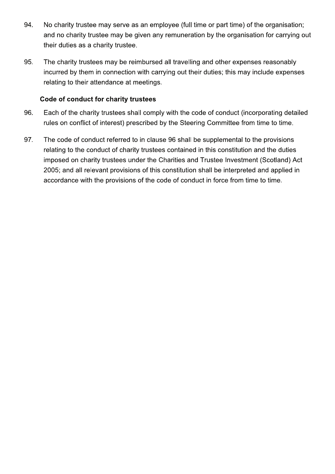- 94. No charity trustee may serve as an employee (full time or part time) of the organisation; and no charity trustee may be given any remuneration by the organisation for carrying out their duties as a charity trustee.
- 95. The charity trustees may be reimbursed all travelling and other expenses reasonably incurred by them in connection with carrying out their duties; this may include expenses relating to their attendance at meetings.

### Code of conduct for charity trustees

- Each of the charity trustees shall comply with the code of conduct (incorporating detailed 96. rules on conflict of interest) prescribed by the Steering Committee from time to time.
- 97. The code of conduct referred to in clause 96 shall be supplemental to the provisions relating to the conduct of charity trustees contained in this constitution and the duties imposed on charity trustees under the Charities and Trustee Investment (Scotland) Act 2005; and all relevant provisions of this constitution shall be interpreted and applied in accordance with the provisions of the code of conduct in force from time to time.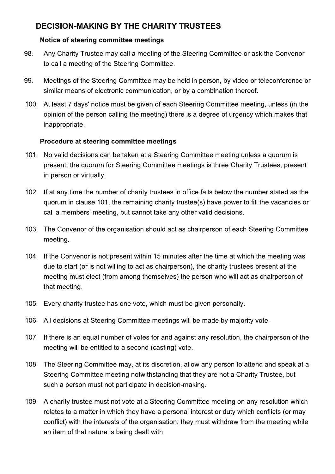# **DECISION-MAKING BY THE CHARITY TRUSTEES**

### Notice of steering committee meetings

- 98. Any Charity Trustee may call a meeting of the Steering Committee or ask the Convenor to call a meeting of the Steering Committee.
- 99. Meetings of the Steering Committee may be held in person, by video or teleconference or similar means of electronic communication, or by a combination thereof.
- $100.$ At least 7 days' notice must be given of each Steering Committee meeting, unless (in the opinion of the person calling the meeting) there is a degree of urgency which makes that inappropriate.

# Procedure at steering committee meetings

- 101. No valid decisions can be taken at a Steering Committee meeting unless a quorum is present; the quorum for Steering Committee meetings is three Charity Trustees, present in person or virtually.
- 102. If at any time the number of charity trustees in office falls below the number stated as the quorum in clause 101, the remaining charity trustee(s) have power to fill the vacancies or call a members' meeting, but cannot take any other valid decisions.
- 103. The Convenor of the organisation should act as chairperson of each Steering Committee meeting.
- 104. If the Convenor is not present within 15 minutes after the time at which the meeting was due to start (or is not willing to act as chairperson), the charity trustees present at the meeting must elect (from among themselves) the person who will act as chairperson of that meeting.
- 105. Every charity trustee has one vote, which must be given personally.
- 106. All decisions at Steering Committee meetings will be made by majority vote.
- 107. If there is an equal number of votes for and against any resolution, the chairperson of the meeting will be entitled to a second (casting) vote.
- 108. The Steering Committee may, at its discretion, allow any person to attend and speak at a Steering Committee meeting notwithstanding that they are not a Charity Trustee, but such a person must not participate in decision-making.
- 109. A charity trustee must not vote at a Steering Committee meeting on any resolution which relates to a matter in which they have a personal interest or duty which conflicts (or may conflict) with the interests of the organisation; they must withdraw from the meeting while an item of that nature is being dealt with.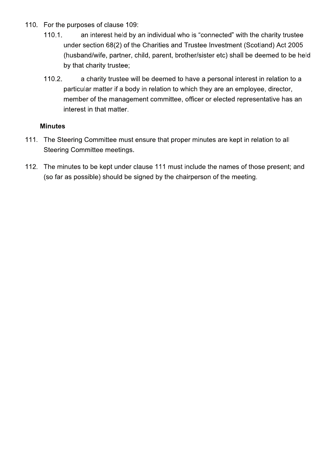- 110. For the purposes of clause 109:
	- $110.1.$ an interest held by an individual who is "connected" with the charity trustee under section 68(2) of the Charities and Trustee Investment (Scotland) Act 2005 (husband/wife, partner, child, parent, brother/sister etc) shall be deemed to be held by that charity trustee;
	- $110.2.$ a charity trustee will be deemed to have a personal interest in relation to a particular matter if a body in relation to which they are an employee, director, member of the management committee, officer or elected representative has an interest in that matter.

#### **Minutes**

- 111. The Steering Committee must ensure that proper minutes are kept in relation to all **Steering Committee meetings.**
- 112. The minutes to be kept under clause 111 must include the names of those present; and (so far as possible) should be signed by the chairperson of the meeting.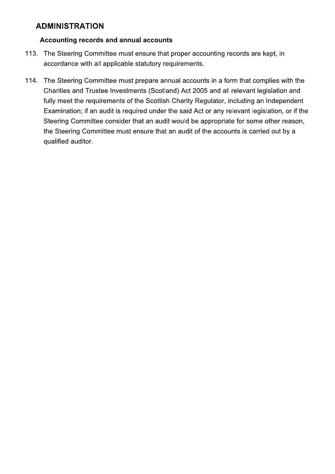# **ADMINISTRATION**

#### Accounting records and annual accounts

- 113. The Steering Committee must ensure that proper accounting records are kept, in accordance with all applicable statutory requirements.
- 114. The Steering Committee must prepare annual accounts in a form that complies with the Charities and Trustee Investments (Scotland) Act 2005 and all relevant legislation and fully meet the requirements of the Scottish Charity Regulator, including an Independent Examination; if an audit is required under the said Act or any relevant legislation, or if the Steering Committee consider that an audit would be appropriate for some other reason, the Steering Committee must ensure that an audit of the accounts is carried out by a qualified auditor.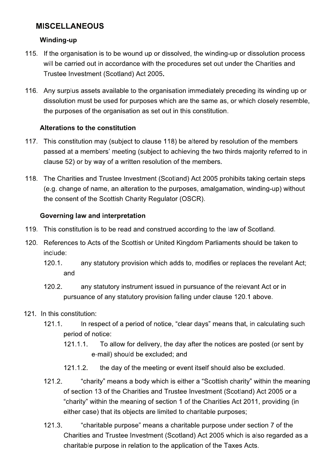# **MISCELLANEOUS**

#### **Winding-up**

- 115. If the organisation is to be wound up or dissolved, the winding-up or dissolution process will be carried out in accordance with the procedures set out under the Charities and Trustee Investment (Scotland) Act 2005.
- 116. Any surplus assets available to the organisation immediately preceding its winding up or dissolution must be used for purposes which are the same as, or which closely resemble, the purposes of the organisation as set out in this constitution.

# Alterations to the constitution

- 117. This constitution may (subject to clause 118) be altered by resolution of the members passed at a members' meeting (subject to achieving the two thirds majority referred to in clause 52) or by way of a written resolution of the members.
- 118. The Charities and Trustee Investment (Scotland) Act 2005 prohibits taking certain steps (e.g. change of name, an alteration to the purposes, amalgamation, winding-up) without the consent of the Scottish Charity Regulator (OSCR).

### **Governing law and interpretation**

- 119. This constitution is to be read and construed according to the law of Scotland.
- 120. References to Acts of the Scottish or United Kingdom Parliaments should be taken to include:
	- $120.1.$ any statutory provision which adds to, modifies or replaces the revelant Act; and
	- any statutory instrument issued in pursuance of the relevant Act or in 120.2. pursuance of any statutory provision falling under clause 120.1 above.
- 121. In this constitution:
	- In respect of a period of notice, "clear days" means that, in calculating such  $121.1.$ period of notice:
		- $121.1.1$ To allow for delivery, the day after the notices are posted (or sent by e-mail) should be excluded; and
		- $121.1.2.$ the day of the meeting or event itself should also be excluded.
	- $121.2.$ "charity" means a body which is either a "Scottish charity" within the meaning of section 13 of the Charities and Trustee Investment (Scotland) Act 2005 or a "charity" within the meaning of section 1 of the Charities Act 2011, providing (in either case) that its objects are limited to charitable purposes;
	- $121.3.$ "charitable purpose" means a charitable purpose under section 7 of the Charities and Trustee Investment (Scotland) Act 2005 which is also regarded as a charitable purpose in relation to the application of the Taxes Acts.